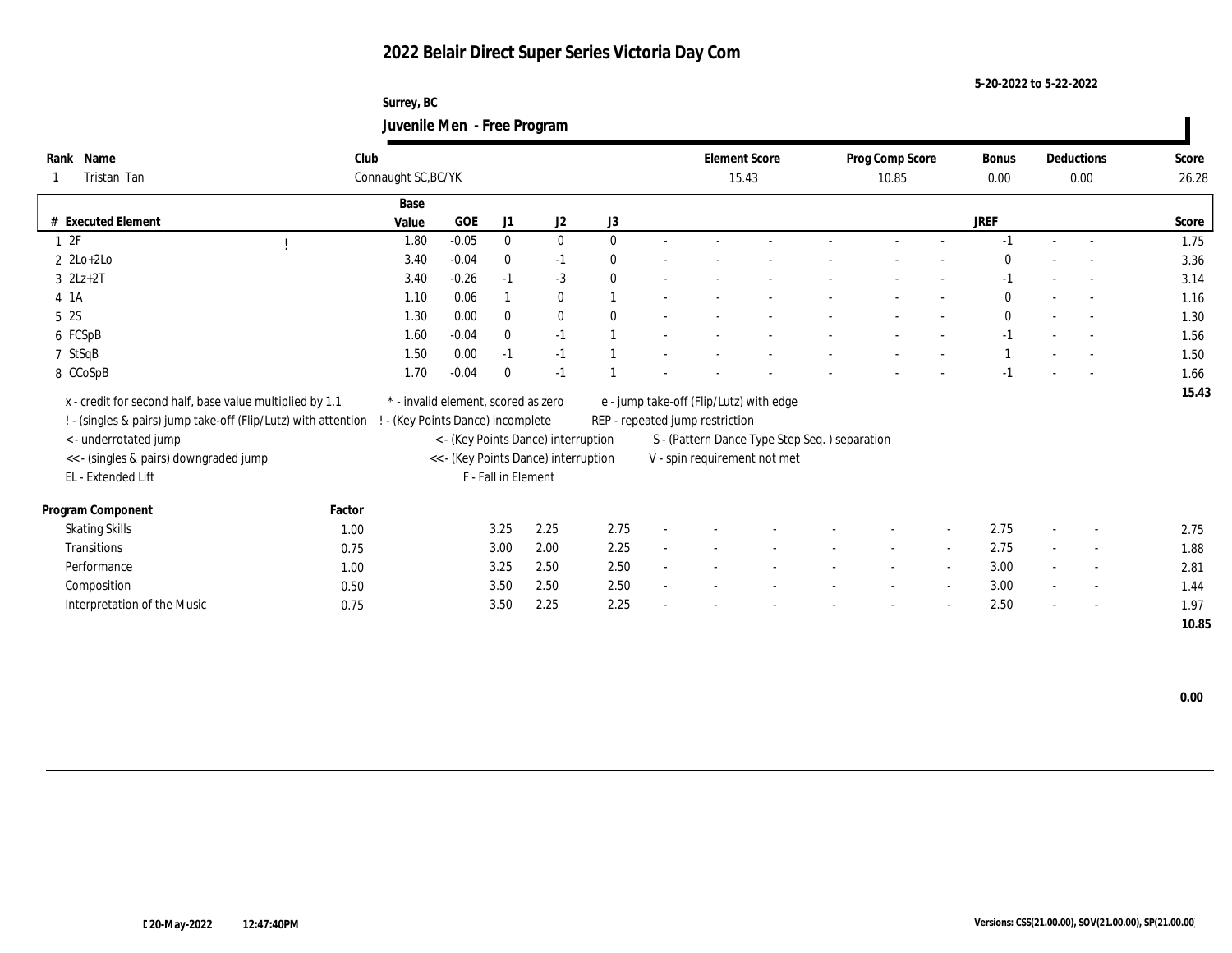**Surrey, BC Juvenile Men - Free Program**

| Name<br>Rank                                                   | Club   |                                 |                                     |                     |                                      |              |        |                                 | <b>Element Score</b>                           | Prog Comp Score |        | Bonus        |        | Deductions               | Score |
|----------------------------------------------------------------|--------|---------------------------------|-------------------------------------|---------------------|--------------------------------------|--------------|--------|---------------------------------|------------------------------------------------|-----------------|--------|--------------|--------|--------------------------|-------|
| Tristan Tan                                                    |        | Connaught SC, BC/YK             |                                     |                     |                                      |              |        |                                 | 15.43                                          | 10.85           |        | 0.00         |        | 0.00                     | 26.28 |
|                                                                |        | Base                            |                                     |                     |                                      |              |        |                                 |                                                |                 |        |              |        |                          |       |
| # Executed Element                                             |        | Value                           | <b>GOE</b>                          | J1                  | J2                                   | J3           |        |                                 |                                                |                 |        | <b>JREF</b>  |        |                          | Score |
| 1 2F                                                           |        | 1.80                            | $-0.05$                             | $\bf{0}$            | $\bf{0}$                             | $\theta$     | $\sim$ |                                 |                                                | $\sim$          |        | $-1$         | $\sim$ | $\sim$                   | 1.75  |
| $2 \text{ } 2\text{Lo}+2\text{Lo}$                             |        | 3.40                            | $-0.04$                             | $\bf{0}$            | $-1$                                 | $\mathbf{0}$ |        |                                 |                                                |                 |        | $\Omega$     |        |                          | 3.36  |
| $3$ $2Lz+2T$                                                   |        | 3.40                            | $-0.26$                             | $-1$                | $-3$                                 | $\mathbf{0}$ |        |                                 |                                                |                 |        | -1           |        |                          | 3.14  |
| 4 1A                                                           |        | 1.10                            | 0.06                                |                     | $\bf{0}$                             |              |        |                                 |                                                |                 |        | $\mathbf{0}$ |        | $\sim$                   | 1.16  |
| 5 2S                                                           |        | 1.30                            | 0.00                                | $\mathbf{0}$        | $\bf{0}$                             | $\theta$     |        |                                 |                                                |                 |        | $\mathbf{0}$ |        | $\sim$                   | 1.30  |
| 6 FCSpB                                                        |        | 1.60                            | $-0.04$                             | $\mathbf{0}$        | $-1$                                 |              |        |                                 |                                                |                 |        | $-1$         |        | $\sim$                   | 1.56  |
| 7 StSqB                                                        |        | 1.50                            | 0.00                                | $-1$                | $-1$                                 |              |        |                                 |                                                |                 |        |              |        |                          | 1.50  |
| 8 CCoSpB                                                       |        | 1.70                            | $-0.04$                             | $\bf{0}$            | $-1$                                 |              |        |                                 |                                                |                 |        |              |        |                          | 1.66  |
| x - credit for second half, base value multiplied by 1.1       |        |                                 | * - invalid element, scored as zero |                     |                                      |              |        |                                 | e - jump take-off (Flip/Lutz) with edge        |                 |        |              |        |                          | 15.43 |
| ! - (singles & pairs) jump take-off (Flip/Lutz) with attention |        | - (Key Points Dance) incomplete |                                     |                     |                                      |              |        | REP - repeated jump restriction |                                                |                 |        |              |        |                          |       |
| < - underrotated jump                                          |        |                                 |                                     |                     | < - (Key Points Dance) interruption  |              |        |                                 | S - (Pattern Dance Type Step Seq. ) separation |                 |        |              |        |                          |       |
| << - (singles & pairs) downgraded jump                         |        |                                 |                                     |                     | << - (Key Points Dance) interruption |              |        |                                 | V - spin requirement not met                   |                 |        |              |        |                          |       |
| EL - Extended Lift                                             |        |                                 |                                     | F - Fall in Element |                                      |              |        |                                 |                                                |                 |        |              |        |                          |       |
|                                                                |        |                                 |                                     |                     |                                      |              |        |                                 |                                                |                 |        |              |        |                          |       |
| Program Component                                              | Factor |                                 |                                     |                     |                                      |              |        |                                 |                                                |                 |        |              |        |                          |       |
| <b>Skating Skills</b>                                          | 1.00   |                                 |                                     | 3.25                | 2.25                                 | 2.75         |        |                                 |                                                |                 | $\sim$ | 2.75         |        | $\overline{\phantom{a}}$ | 2.75  |
| Transitions                                                    | 0.75   |                                 |                                     | 3.00                | 2.00                                 | 2.25         |        |                                 |                                                | $\sim$          | $\sim$ | 2.75         | $\sim$ | $\sim$                   | 1.88  |
| Performance                                                    | 1.00   |                                 |                                     | 3.25                | 2.50                                 | 2.50         |        |                                 |                                                |                 | $\sim$ | 3.00         |        | $\overline{\phantom{a}}$ | 2.81  |
| Composition                                                    | 0.50   |                                 |                                     | 3.50                | 2.50                                 | 2.50         |        |                                 |                                                |                 | $\sim$ | 3.00         |        | $\overline{\phantom{a}}$ | 1.44  |
| Interpretation of the Music                                    | 0.75   |                                 |                                     | 3.50                | 2.25                                 | 2.25         |        |                                 |                                                |                 |        | 2.50         |        | $\sim$                   | 1.97  |
|                                                                |        |                                 |                                     |                     |                                      |              |        |                                 |                                                |                 |        |              |        |                          | 10.85 |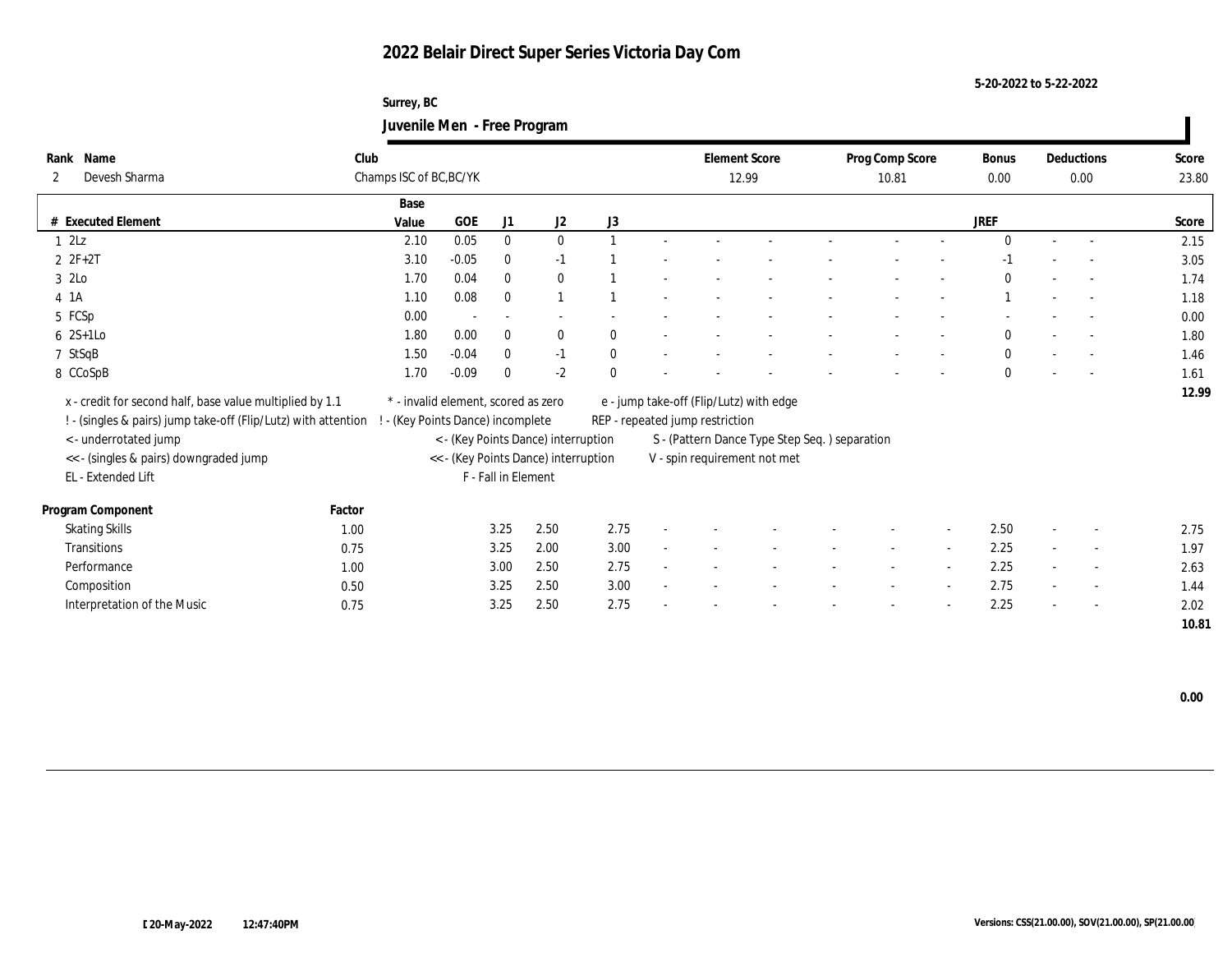**Surrey, BC Juvenile Men - Free Program**

| Rank Name                                                      | Club   |                                 |                                     |                          |                                      |              |                                 | <b>Element Score</b>                           | Prog Comp Score |        | Bonus        |                          | Deductions               | Score |
|----------------------------------------------------------------|--------|---------------------------------|-------------------------------------|--------------------------|--------------------------------------|--------------|---------------------------------|------------------------------------------------|-----------------|--------|--------------|--------------------------|--------------------------|-------|
| Devesh Sharma<br>2                                             |        | Champs ISC of BC, BC/YK         |                                     |                          |                                      |              |                                 | 12.99                                          | 10.81           |        | 0.00         |                          | 0.00                     | 23.80 |
|                                                                |        | Base                            |                                     |                          |                                      |              |                                 |                                                |                 |        |              |                          |                          |       |
| # Executed Element                                             |        | Value                           | <b>GOE</b>                          | J1                       | J2                                   | J3           |                                 |                                                |                 |        | <b>JREF</b>  |                          |                          | Score |
| 12Lz                                                           |        | 2.10                            | 0.05                                | $\bf{0}$                 | $\bf{0}$                             |              |                                 |                                                |                 |        | $\mathbf{0}$ | $\sim$                   | $\sim$                   | 2.15  |
| $2 F + 2T$                                                     |        | 3.10                            | $-0.05$                             | $\bf{0}$                 | $-1$                                 |              |                                 |                                                |                 |        | $-1$         |                          |                          | 3.05  |
| 3 2Lo                                                          |        | 1.70                            | 0.04                                | $\mathbf{0}$             | $\bf{0}$                             |              |                                 |                                                |                 |        | $\Omega$     |                          |                          | 1.74  |
| $4$ 1A                                                         |        | 1.10                            | 0.08                                | $\mathbf{0}$             |                                      |              |                                 |                                                |                 |        |              |                          | $\sim$                   | 1.18  |
| 5 FCSp                                                         |        | 0.00                            |                                     | $\overline{\phantom{a}}$ |                                      |              |                                 |                                                |                 |        |              |                          |                          | 0.00  |
| $6 \t2S+1Lo$                                                   |        | 1.80                            | 0.00                                | $\mathbf{0}$             | $\bf{0}$                             | $\theta$     |                                 |                                                |                 |        | $\mathbf{0}$ |                          | $\sim$                   | 1.80  |
| 7 StSqB                                                        |        | 1.50                            | $-0.04$                             | $\bf{0}$                 | $-1$                                 | $\mathbf{0}$ |                                 |                                                |                 |        | $\mathbf{0}$ |                          |                          | 1.46  |
| 8 CCoSpB                                                       |        | 1.70                            | $-0.09$                             | $\mathbf{0}$             | $-2$                                 | $\mathbf{0}$ |                                 |                                                |                 |        | $\mathbf{0}$ |                          |                          | 1.61  |
| x - credit for second half, base value multiplied by 1.1       |        |                                 | * - invalid element, scored as zero |                          |                                      |              |                                 | e - jump take-off (Flip/Lutz) with edge        |                 |        |              |                          |                          | 12.99 |
| ! - (singles & pairs) jump take-off (Flip/Lutz) with attention |        | - (Key Points Dance) incomplete |                                     |                          |                                      |              | REP - repeated jump restriction |                                                |                 |        |              |                          |                          |       |
| < - underrotated jump                                          |        |                                 |                                     |                          | < - (Key Points Dance) interruption  |              |                                 | S - (Pattern Dance Type Step Seq. ) separation |                 |        |              |                          |                          |       |
| << - (singles & pairs) downgraded jump                         |        |                                 |                                     |                          | << - (Key Points Dance) interruption |              |                                 | V - spin requirement not met                   |                 |        |              |                          |                          |       |
| EL - Extended Lift                                             |        |                                 |                                     | F - Fall in Element      |                                      |              |                                 |                                                |                 |        |              |                          |                          |       |
|                                                                |        |                                 |                                     |                          |                                      |              |                                 |                                                |                 |        |              |                          |                          |       |
| Program Component                                              | Factor |                                 |                                     |                          |                                      |              |                                 |                                                |                 |        |              |                          |                          |       |
| <b>Skating Skills</b>                                          | 1.00   |                                 |                                     | 3.25                     | 2.50                                 | 2.75         |                                 |                                                |                 |        | 2.50         | $\overline{\phantom{a}}$ | $\overline{\phantom{a}}$ | 2.75  |
| Transitions                                                    | 0.75   |                                 |                                     | 3.25                     | 2.00                                 | 3.00         |                                 |                                                | $\sim$          | $\sim$ | 2.25         | $\sim$                   | $\sim$                   | 1.97  |
| Performance                                                    | 1.00   |                                 |                                     | 3.00                     | 2.50                                 | 2.75         |                                 |                                                |                 |        | 2.25         |                          | $\overline{\phantom{a}}$ | 2.63  |
| Composition                                                    | 0.50   |                                 |                                     | 3.25                     | 2.50                                 | 3.00         |                                 |                                                |                 |        | 2.75         |                          | $\overline{\phantom{a}}$ | 1.44  |
| Interpretation of the Music                                    | 0.75   |                                 |                                     | 3.25                     | 2.50                                 | 2.75         |                                 |                                                |                 |        | 2.25         |                          | $\sim$                   | 2.02  |
|                                                                |        |                                 |                                     |                          |                                      |              |                                 |                                                |                 |        |              |                          |                          | 10.81 |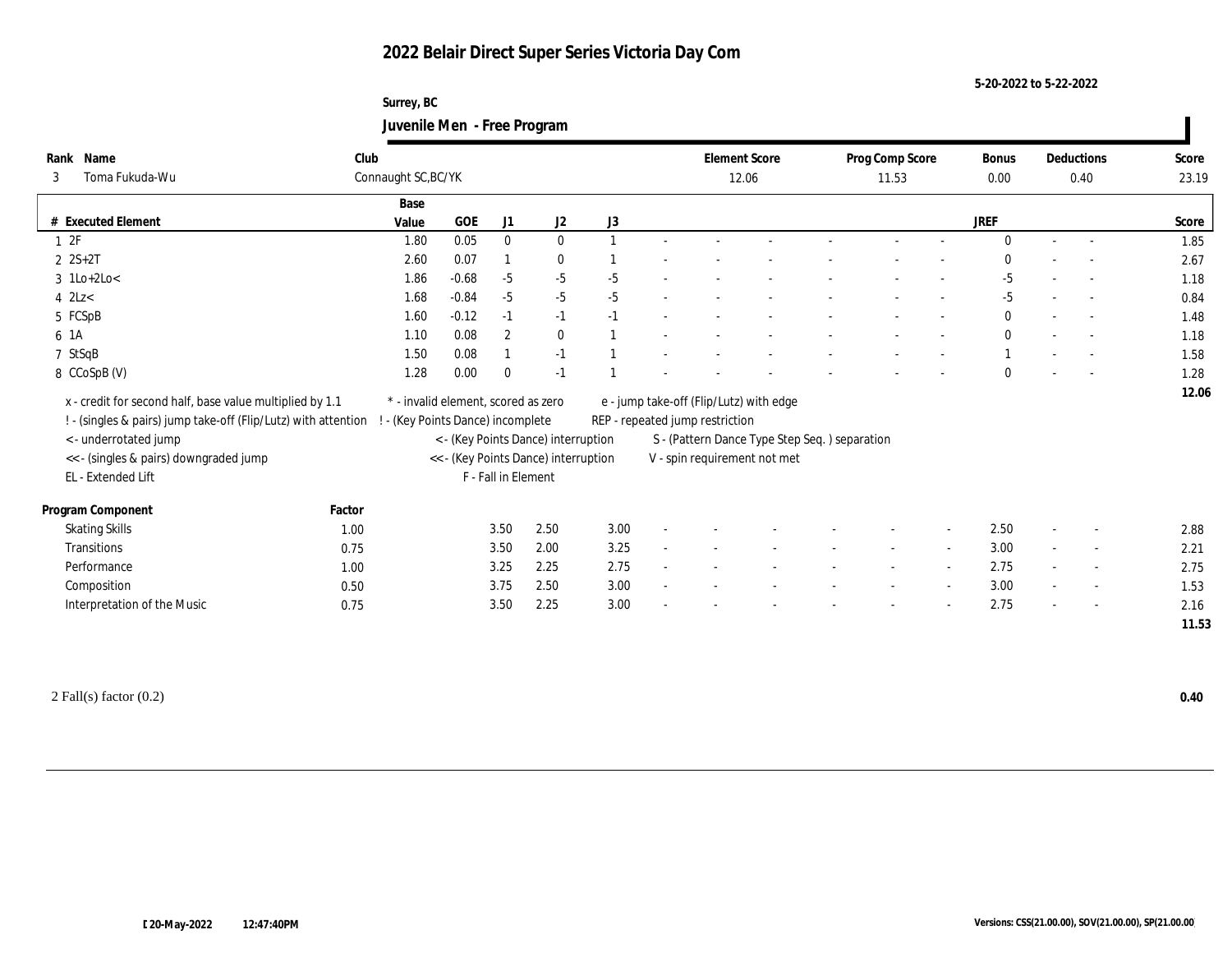**Surrey, BC Juvenile Men - Free Program**

| Name<br>Rank                                                   | Club   |                                     |         |                     |                                      |      |        | <b>Element Score</b>                    |                                               | Prog Comp Score |        | Bonus       |                          | Deductions               | Score |
|----------------------------------------------------------------|--------|-------------------------------------|---------|---------------------|--------------------------------------|------|--------|-----------------------------------------|-----------------------------------------------|-----------------|--------|-------------|--------------------------|--------------------------|-------|
| Toma Fukuda-Wu<br>3                                            |        | Connaught SC, BC/YK                 |         |                     |                                      |      |        | 12.06                                   |                                               | 11.53           |        | 0.00        |                          | 0.40                     | 23.19 |
|                                                                |        | Base                                |         |                     |                                      |      |        |                                         |                                               |                 |        |             |                          |                          |       |
| # Executed Element                                             |        | Value                               | GOE     | J1                  | J2                                   | J3   |        |                                         |                                               |                 |        | <b>JREF</b> |                          |                          | Score |
| 12F                                                            |        | 1.80                                | 0.05    | $\mathbf{0}$        | $\bf{0}$                             |      |        |                                         |                                               |                 |        |             |                          |                          | 1.85  |
| $2 \text{ } 2S+2T$                                             |        | 2.60                                | 0.07    |                     | $\bf{0}$                             |      |        |                                         |                                               |                 |        |             |                          |                          | 2.67  |
| $3$ 1Lo+2Lo<                                                   |        | 1.86                                | $-0.68$ | $-5$                | $-5$                                 | $-5$ |        |                                         |                                               |                 |        | $-5$        |                          |                          | 1.18  |
| $4$ 2Lz $<$                                                    |        | 1.68                                | $-0.84$ | $-5$                | $-5$                                 | $-5$ |        |                                         |                                               |                 |        | $-5$        |                          |                          | 0.84  |
| 5 FCSpB                                                        |        | 1.60                                | $-0.12$ | $-1$                | $-1$                                 | $-1$ |        |                                         |                                               |                 |        | $\bf{0}$    | $\sim$                   |                          | 1.48  |
| 6 1A                                                           |        | 1.10                                | 0.08    | $\boldsymbol{2}$    | $\bf{0}$                             |      |        |                                         |                                               |                 |        | $\bf{0}$    |                          |                          | 1.18  |
| 7 StSqB                                                        |        | 1.50                                | 0.08    |                     | $-1$                                 |      |        |                                         |                                               |                 |        |             | $\sim$                   | $\sim$                   | 1.58  |
| 8 CCoSpB (V)                                                   |        | 1.28                                | 0.00    | $\theta$            | $-1$                                 |      |        |                                         |                                               |                 |        | 0           |                          |                          | 1.28  |
| x - credit for second half, base value multiplied by 1.1       |        | * - invalid element, scored as zero |         |                     |                                      |      |        | e - jump take-off (Flip/Lutz) with edge |                                               |                 |        |             |                          |                          | 12.06 |
| ! - (singles & pairs) jump take-off (Flip/Lutz) with attention |        | ! - (Key Points Dance) incomplete   |         |                     |                                      |      |        | REP - repeated jump restriction         |                                               |                 |        |             |                          |                          |       |
| < - underrotated jump                                          |        |                                     |         |                     | < - (Key Points Dance) interruption  |      |        |                                         | S - (Pattern Dance Type Step Seq.) separation |                 |        |             |                          |                          |       |
| << - (singles & pairs) downgraded jump                         |        |                                     |         |                     | << - (Key Points Dance) interruption |      |        |                                         | V - spin requirement not met                  |                 |        |             |                          |                          |       |
| EL - Extended Lift                                             |        |                                     |         | F - Fall in Element |                                      |      |        |                                         |                                               |                 |        |             |                          |                          |       |
|                                                                |        |                                     |         |                     |                                      |      |        |                                         |                                               |                 |        |             |                          |                          |       |
| Program Component                                              | Factor |                                     |         |                     |                                      |      |        |                                         |                                               |                 |        |             |                          |                          |       |
| <b>Skating Skills</b>                                          | 1.00   |                                     |         | 3.50                | 2.50                                 | 3.00 | $\sim$ |                                         |                                               |                 |        | 2.50        | $\sim$                   |                          | 2.88  |
| Transitions                                                    | 0.75   |                                     |         | 3.50                | 2.00                                 | 3.25 | $\sim$ |                                         |                                               |                 |        | 3.00        | $\overline{\phantom{a}}$ | $\overline{\phantom{a}}$ | 2.21  |
| Performance                                                    | 1.00   |                                     |         | 3.25                | 2.25                                 | 2.75 | $\sim$ |                                         |                                               | $\sim$          | $\sim$ | 2.75        | $\sim$                   | $\overline{\phantom{a}}$ | 2.75  |
| Composition                                                    | 0.50   |                                     |         | 3.75                | 2.50                                 | 3.00 |        |                                         |                                               |                 |        | 3.00        | $\overline{\phantom{a}}$ |                          | 1.53  |
| Interpretation of the Music                                    | 0.75   |                                     |         | 3.50                | 2.25                                 | 3.00 |        |                                         |                                               |                 |        | 2.75        | ÷                        |                          | 2.16  |
|                                                                |        |                                     |         |                     |                                      |      |        |                                         |                                               |                 |        |             |                          |                          | 11.53 |
|                                                                |        |                                     |         |                     |                                      |      |        |                                         |                                               |                 |        |             |                          |                          |       |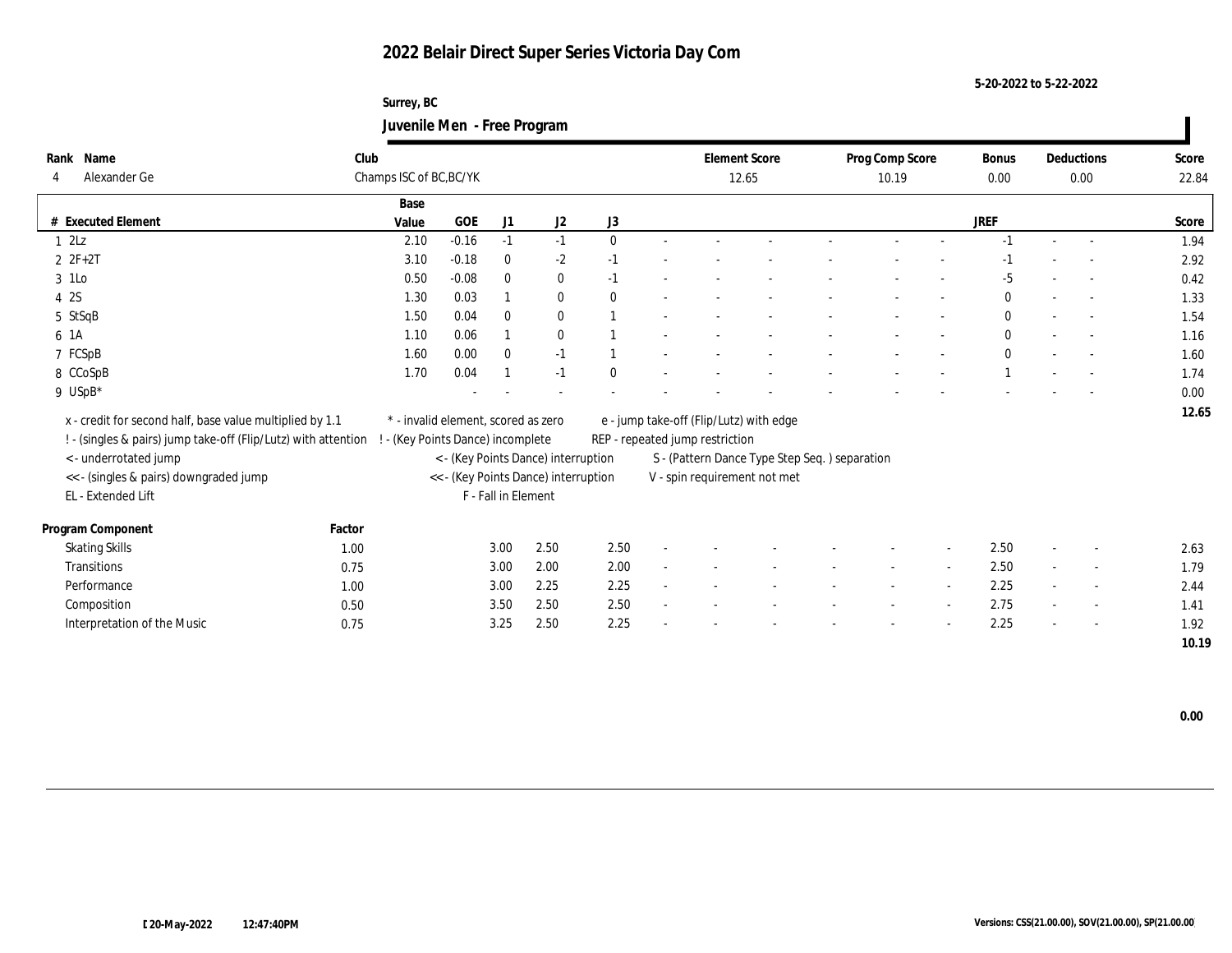**Surrey, BC Juvenile Men - Free Program**

| Rank Name                                                      | Club   |                                     |         |                     |                                      |              |                                 | <b>Element Score</b>                          | Prog Comp Score |        | <b>Bonus</b> | Deductions               | Score |
|----------------------------------------------------------------|--------|-------------------------------------|---------|---------------------|--------------------------------------|--------------|---------------------------------|-----------------------------------------------|-----------------|--------|--------------|--------------------------|-------|
| Alexander Ge<br>4                                              |        | Champs ISC of BC, BC/YK             |         |                     |                                      |              |                                 | 12.65                                         | 10.19           |        | 0.00         | 0.00                     | 22.84 |
|                                                                |        | Base                                |         |                     |                                      |              |                                 |                                               |                 |        |              |                          |       |
| # Executed Element                                             |        | Value                               | GOE     | J1                  | J <sub>2</sub>                       | J3           |                                 |                                               |                 |        | JREF         |                          | Score |
| 12Lz                                                           |        | 2.10                                | $-0.16$ | $-1$                | $-1$                                 | $\mathbf{0}$ |                                 |                                               |                 |        | $-1$         |                          | 1.94  |
| $2 F + 2T$                                                     |        | 3.10                                | $-0.18$ | $\bf{0}$            | $-2$                                 | $-1$         |                                 |                                               |                 |        | -1           |                          | 2.92  |
| 3 1Lo                                                          |        | 0.50                                | $-0.08$ | $\mathbf{0}$        | $\bf{0}$                             | $-1$         |                                 |                                               |                 |        | $-5$         |                          | 0.42  |
| 4 2S                                                           |        | 1.30                                | 0.03    |                     | $\bf{0}$                             | $\theta$     |                                 |                                               |                 |        | $\mathbf{0}$ |                          | 1.33  |
| 5 StSqB                                                        |        | 1.50                                | 0.04    | $\mathbf{0}$        | $\bf{0}$                             |              |                                 |                                               |                 |        | $\mathbf{0}$ | $\sim$                   | 1.54  |
| 6 1A                                                           |        | 1.10                                | 0.06    |                     | $\bf{0}$                             |              |                                 |                                               |                 |        | $\mathbf{0}$ |                          | 1.16  |
| 7 FCSpB                                                        |        | 1.60                                | 0.00    | $\bf{0}$            | $-1$                                 |              |                                 |                                               |                 |        | $\mathbf{0}$ |                          | 1.60  |
| 8 CCoSpB                                                       |        | 1.70                                | 0.04    |                     | $-1$                                 | $\Omega$     |                                 |                                               |                 |        |              |                          | 1.74  |
| 9 USpB*                                                        |        |                                     |         |                     |                                      |              |                                 |                                               |                 |        |              |                          | 0.00  |
|                                                                |        | * - invalid element, scored as zero |         |                     |                                      |              |                                 |                                               |                 |        |              |                          | 12.65 |
| x - credit for second half, base value multiplied by 1.1       |        |                                     |         |                     |                                      |              |                                 | e - jump take-off (Flip/Lutz) with edge       |                 |        |              |                          |       |
| ! - (singles & pairs) jump take-off (Flip/Lutz) with attention |        | - (Key Points Dance) incomplete     |         |                     |                                      |              | REP - repeated jump restriction |                                               |                 |        |              |                          |       |
| < - underrotated jump                                          |        |                                     |         |                     | < - (Key Points Dance) interruption  |              |                                 | S - (Pattern Dance Type Step Seq.) separation |                 |        |              |                          |       |
| << - (singles & pairs) downgraded jump                         |        |                                     |         |                     | << - (Key Points Dance) interruption |              |                                 | V - spin requirement not met                  |                 |        |              |                          |       |
| EL - Extended Lift                                             |        |                                     |         | F - Fall in Element |                                      |              |                                 |                                               |                 |        |              |                          |       |
| Program Component                                              | Factor |                                     |         |                     |                                      |              |                                 |                                               |                 |        |              |                          |       |
| <b>Skating Skills</b>                                          | 1.00   |                                     |         | 3.00                | 2.50                                 | 2.50         |                                 |                                               |                 | $\sim$ | 2.50         | $\sim$                   | 2.63  |
| Transitions                                                    | 0.75   |                                     |         | 3.00                | 2.00                                 | 2.00         |                                 |                                               |                 |        | 2.50         | $\overline{\phantom{a}}$ | 1.79  |
| Performance                                                    | 1.00   |                                     |         | 3.00                | 2.25                                 | 2.25         |                                 |                                               |                 |        | 2.25         | $\sim$                   | 2.44  |
| Composition                                                    | 0.50   |                                     |         | 3.50                | 2.50                                 | 2.50         |                                 |                                               |                 |        | 2.75         | $\sim$                   | 1.41  |
| Interpretation of the Music                                    | 0.75   |                                     |         | 3.25                | 2.50                                 | 2.25         |                                 |                                               |                 |        | 2.25         |                          | 1.92  |
|                                                                |        |                                     |         |                     |                                      |              |                                 |                                               |                 |        |              |                          | 10.19 |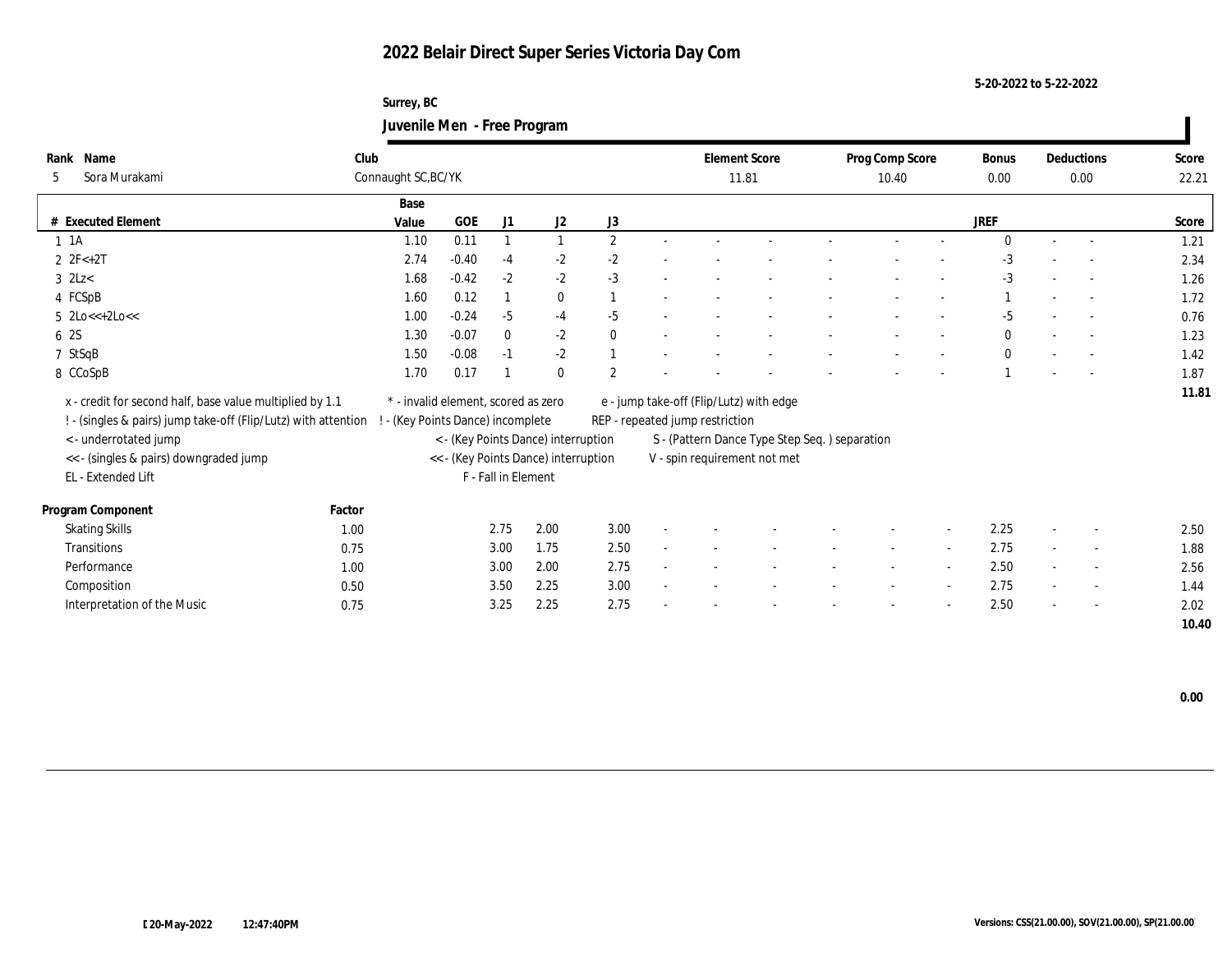**Surrey, BC Juvenile Men - Free Program**

| Rank Name                                                      | Club   |                                     |            |                     |                                      |                |                                 | <b>Element Score</b>                          | Prog Comp Score | <b>Bonus</b> |                          | Deductions               | Score |
|----------------------------------------------------------------|--------|-------------------------------------|------------|---------------------|--------------------------------------|----------------|---------------------------------|-----------------------------------------------|-----------------|--------------|--------------------------|--------------------------|-------|
| Sora Murakami<br>5                                             |        | Connaught SC, BC/YK                 |            |                     |                                      |                |                                 | 11.81                                         | 10.40           | 0.00         |                          | 0.00                     | 22.21 |
|                                                                |        | Base                                |            |                     |                                      |                |                                 |                                               |                 |              |                          |                          |       |
| # Executed Element                                             |        | Value                               | <b>GOE</b> | J <sub>1</sub>      | J2                                   | J3             |                                 |                                               |                 | <b>JREF</b>  |                          |                          | Score |
| $1 \t1A$                                                       |        | 1.10                                | 0.11       |                     |                                      | $\mathbf{2}$   |                                 |                                               |                 | $\Omega$     |                          |                          | 1.21  |
| $2 \text{ } 2F < +2T$                                          |        | 2.74                                | $-0.40$    | $-4$                | $-2$                                 | $-2$           |                                 |                                               |                 | $-3$         |                          |                          | 2.34  |
| $3$ 2Lz $<$                                                    |        | 1.68                                | $-0.42$    | $-2$                | $-2$                                 | $-3$           |                                 |                                               |                 | $-3$         |                          | $\sim$                   | 1.26  |
| 4 FCSpB                                                        |        | 1.60                                | 0.12       |                     | $\bf{0}$                             |                |                                 |                                               |                 |              |                          |                          | 1.72  |
| $5 \text{ } 2 \text{Lo} \leq +2 \text{Lo} \leq$                |        | 1.00                                | $-0.24$    | $-5$                | $-4$                                 | $-5$           |                                 |                                               |                 | $-5$         |                          |                          | 0.76  |
| 6 2S                                                           |        | 1.30                                | $-0.07$    | $\bf{0}$            | $-2$                                 | $\mathbf{0}$   |                                 |                                               |                 | $\bf{0}$     |                          |                          | 1.23  |
| 7 StSqB                                                        |        | 1.50                                | $-0.08$    | $-1$                | $-2$                                 |                |                                 |                                               |                 | $\bf{0}$     | $\overline{\phantom{a}}$ |                          | 1.42  |
| 8 CCoSpB                                                       |        | 1.70                                | 0.17       |                     | $\mathbf{0}$                         | $\overline{2}$ |                                 |                                               |                 |              |                          |                          | 1.87  |
| x - credit for second half, base value multiplied by 1.1       |        | * - invalid element, scored as zero |            |                     |                                      |                |                                 | e - jump take-off (Flip/Lutz) with edge       |                 |              |                          |                          | 11.81 |
| ! - (singles & pairs) jump take-off (Flip/Lutz) with attention |        | - (Key Points Dance) incomplete     |            |                     |                                      |                | REP - repeated jump restriction |                                               |                 |              |                          |                          |       |
| <- underrotated jump                                           |        |                                     |            |                     | < - (Key Points Dance) interruption  |                |                                 | S - (Pattern Dance Type Step Seq.) separation |                 |              |                          |                          |       |
| << - (singles & pairs) downgraded jump                         |        |                                     |            |                     | << - (Key Points Dance) interruption |                |                                 | V - spin requirement not met                  |                 |              |                          |                          |       |
| EL - Extended Lift                                             |        |                                     |            | F - Fall in Element |                                      |                |                                 |                                               |                 |              |                          |                          |       |
|                                                                |        |                                     |            |                     |                                      |                |                                 |                                               |                 |              |                          |                          |       |
| Program Component                                              | Factor |                                     |            |                     |                                      |                |                                 |                                               |                 |              |                          |                          |       |
| <b>Skating Skills</b>                                          | 1.00   |                                     |            | 2.75                | 2.00                                 | 3.00           |                                 |                                               |                 | 2.25         |                          |                          | 2.50  |
| Transitions                                                    | 0.75   |                                     |            | 3.00                | 1.75                                 | 2.50           |                                 |                                               |                 | 2.75         | $\sim$                   |                          | 1.88  |
| Performance                                                    | 1.00   |                                     |            | 3.00                | 2.00                                 | 2.75           |                                 |                                               |                 | 2.50         | $\sim$                   | $\overline{\phantom{a}}$ | 2.56  |
| Composition                                                    | 0.50   |                                     |            | 3.50                | 2.25                                 | 3.00           |                                 |                                               |                 | 2.75         | $\sim$                   | $\sim$                   | 1.44  |
| Interpretation of the Music                                    | 0.75   |                                     |            | 3.25                | 2.25                                 | 2.75           |                                 |                                               |                 | 2.50         | $\sim$                   | $\sim$                   | 2.02  |
|                                                                |        |                                     |            |                     |                                      |                |                                 |                                               |                 |              |                          |                          | 10.40 |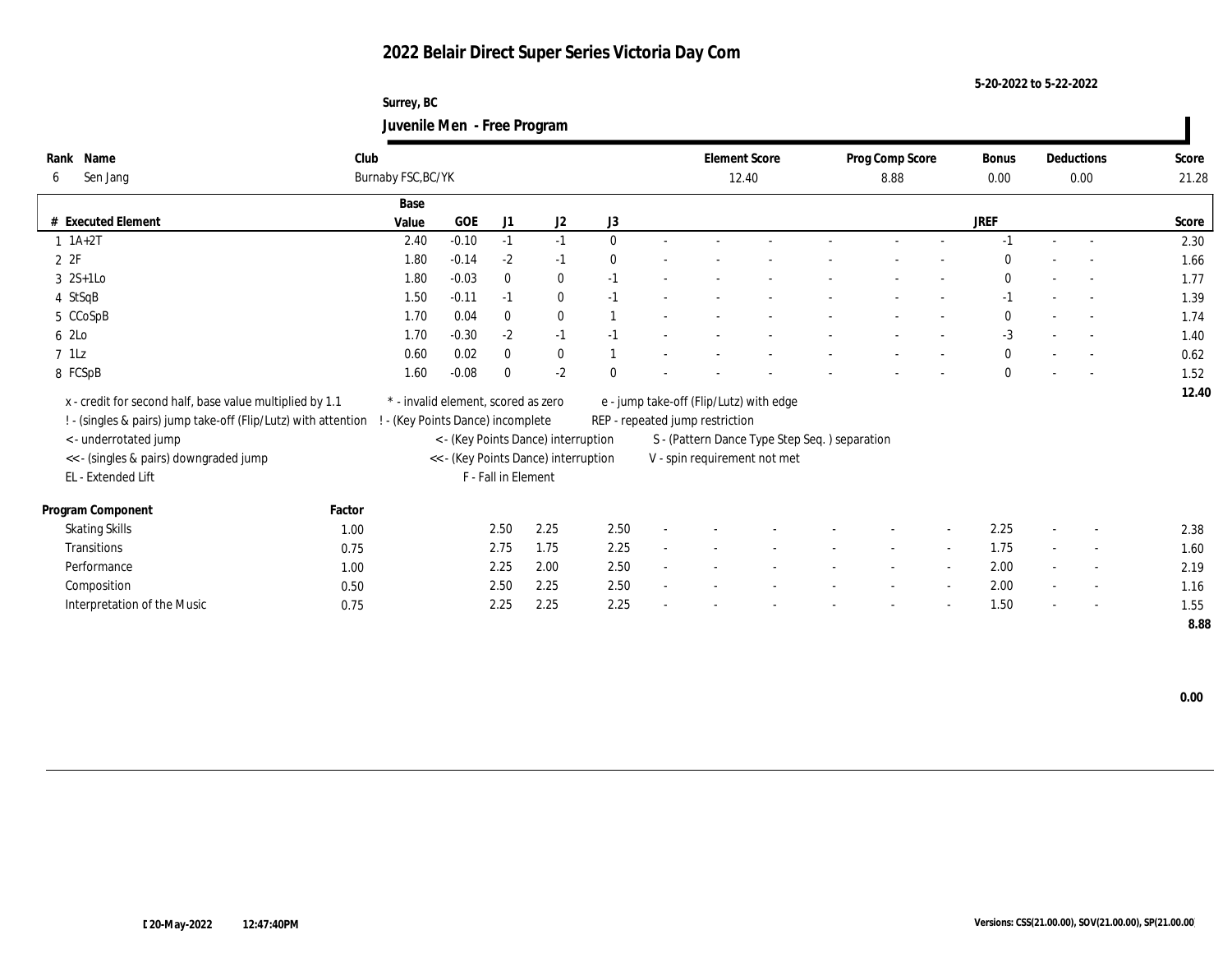**Surrey, BC Juvenile Men - Free Program**

| Club  |                                                                                                                                                                                                                              |                            |              |                                                                                                 |                                                                                             |  |                                                                                                             |                              |                                               | <b>Bonus</b>    |      |                          | Score              |
|-------|------------------------------------------------------------------------------------------------------------------------------------------------------------------------------------------------------------------------------|----------------------------|--------------|-------------------------------------------------------------------------------------------------|---------------------------------------------------------------------------------------------|--|-------------------------------------------------------------------------------------------------------------|------------------------------|-----------------------------------------------|-----------------|------|--------------------------|--------------------|
|       |                                                                                                                                                                                                                              |                            |              |                                                                                                 |                                                                                             |  |                                                                                                             | 8.88                         |                                               | 0.00            |      |                          | 21.28              |
| Base  |                                                                                                                                                                                                                              |                            |              |                                                                                                 |                                                                                             |  |                                                                                                             |                              |                                               |                 |      |                          |                    |
| Value | <b>GOE</b>                                                                                                                                                                                                                   | J1                         | J2           | J3                                                                                              |                                                                                             |  |                                                                                                             |                              |                                               | JREF            |      |                          | Score              |
|       | $-0.10$                                                                                                                                                                                                                      | $-1$                       | $-1$         | $\mathbf{0}$                                                                                    |                                                                                             |  |                                                                                                             |                              |                                               | -1              |      |                          | 2.30               |
|       | $-0.14$                                                                                                                                                                                                                      | $-2$                       | $-1$         | $\mathbf{0}$                                                                                    |                                                                                             |  |                                                                                                             |                              |                                               | $\Omega$        |      |                          | 1.66               |
|       | $-0.03$                                                                                                                                                                                                                      | $\bf{0}$                   | $\bf{0}$     | $-1$                                                                                            |                                                                                             |  |                                                                                                             |                              |                                               | $\mathbf{0}$    |      | $\sim$                   | 1.77               |
|       | $-0.11$                                                                                                                                                                                                                      | $-1$                       | $\bf{0}$     | $-1$                                                                                            |                                                                                             |  |                                                                                                             |                              |                                               | $-1$            |      | $\sim$                   | 1.39               |
|       | 0.04                                                                                                                                                                                                                         | $\bf{0}$                   | $\bf{0}$     |                                                                                                 |                                                                                             |  |                                                                                                             |                              |                                               | $\mathbf{0}$    |      |                          | 1.74               |
|       | $-0.30$                                                                                                                                                                                                                      | $-2$                       | $-1$         | $-1$                                                                                            |                                                                                             |  |                                                                                                             |                              |                                               | $-3$            |      |                          | 1.40               |
|       | 0.02                                                                                                                                                                                                                         | $\bf{0}$                   | $\bf{0}$     |                                                                                                 |                                                                                             |  |                                                                                                             |                              |                                               | $\mathbf{0}$    |      |                          | 0.62               |
|       | $-0.08$                                                                                                                                                                                                                      | $\mathbf{0}$               | $-2$         | $\mathbf{0}$                                                                                    |                                                                                             |  |                                                                                                             |                              |                                               | $\mathbf{0}$    |      |                          | 1.52               |
|       |                                                                                                                                                                                                                              |                            |              |                                                                                                 |                                                                                             |  |                                                                                                             |                              |                                               |                 |      |                          | 12.40              |
|       |                                                                                                                                                                                                                              |                            |              |                                                                                                 |                                                                                             |  |                                                                                                             |                              |                                               |                 |      |                          |                    |
|       |                                                                                                                                                                                                                              |                            |              |                                                                                                 |                                                                                             |  |                                                                                                             |                              |                                               |                 |      |                          |                    |
|       |                                                                                                                                                                                                                              |                            |              |                                                                                                 |                                                                                             |  |                                                                                                             |                              |                                               |                 |      |                          |                    |
|       |                                                                                                                                                                                                                              |                            |              |                                                                                                 |                                                                                             |  |                                                                                                             |                              |                                               |                 |      |                          |                    |
|       |                                                                                                                                                                                                                              |                            |              |                                                                                                 |                                                                                             |  |                                                                                                             |                              |                                               |                 |      |                          |                    |
|       |                                                                                                                                                                                                                              | 2.50                       | 2.25         | 2.50                                                                                            |                                                                                             |  |                                                                                                             |                              |                                               | 2.25            |      |                          | 2.38               |
|       |                                                                                                                                                                                                                              |                            | 1.75         |                                                                                                 |                                                                                             |  |                                                                                                             |                              | $\overline{\phantom{a}}$                      | 1.75            |      | $\overline{\phantom{a}}$ | 1.60               |
|       |                                                                                                                                                                                                                              | 2.25                       | 2.00         | 2.50                                                                                            |                                                                                             |  |                                                                                                             |                              |                                               | 2.00            |      | $\overline{\phantom{a}}$ | 2.19               |
|       |                                                                                                                                                                                                                              |                            | 2.25         |                                                                                                 |                                                                                             |  |                                                                                                             |                              |                                               |                 |      | $\sim$                   | 1.16               |
| 0.75  |                                                                                                                                                                                                                              | 2.25                       | 2.25         | 2.25                                                                                            |                                                                                             |  |                                                                                                             |                              |                                               | 1.50            |      | $\overline{\phantom{a}}$ | 1.55               |
|       |                                                                                                                                                                                                                              |                            |              |                                                                                                 |                                                                                             |  |                                                                                                             |                              |                                               |                 |      |                          |                    |
|       | 1.80<br>1.80<br>1.50<br>1.70<br>1.70<br>0.60<br>1.60<br>x - credit for second half, base value multiplied by 1.1<br>! - (singles & pairs) jump take-off (Flip/Lutz) with attention<br>Factor<br>1.00<br>0.75<br>1.00<br>0.50 | Burnaby FSC, BC/YK<br>2.40 | 2.75<br>2.50 | * - invalid element, scored as zero<br>! - (Key Points Dance) incomplete<br>F - Fall in Element | < - (Key Points Dance) interruption<br><< - (Key Points Dance) interruption<br>2.25<br>2.50 |  | <b>Element Score</b><br>12.40<br>e - jump take-off (Flip/Lutz) with edge<br>REP - repeated jump restriction | V - spin requirement not met | S - (Pattern Dance Type Step Seq.) separation | Prog Comp Score | 2.00 |                          | Deductions<br>0.00 |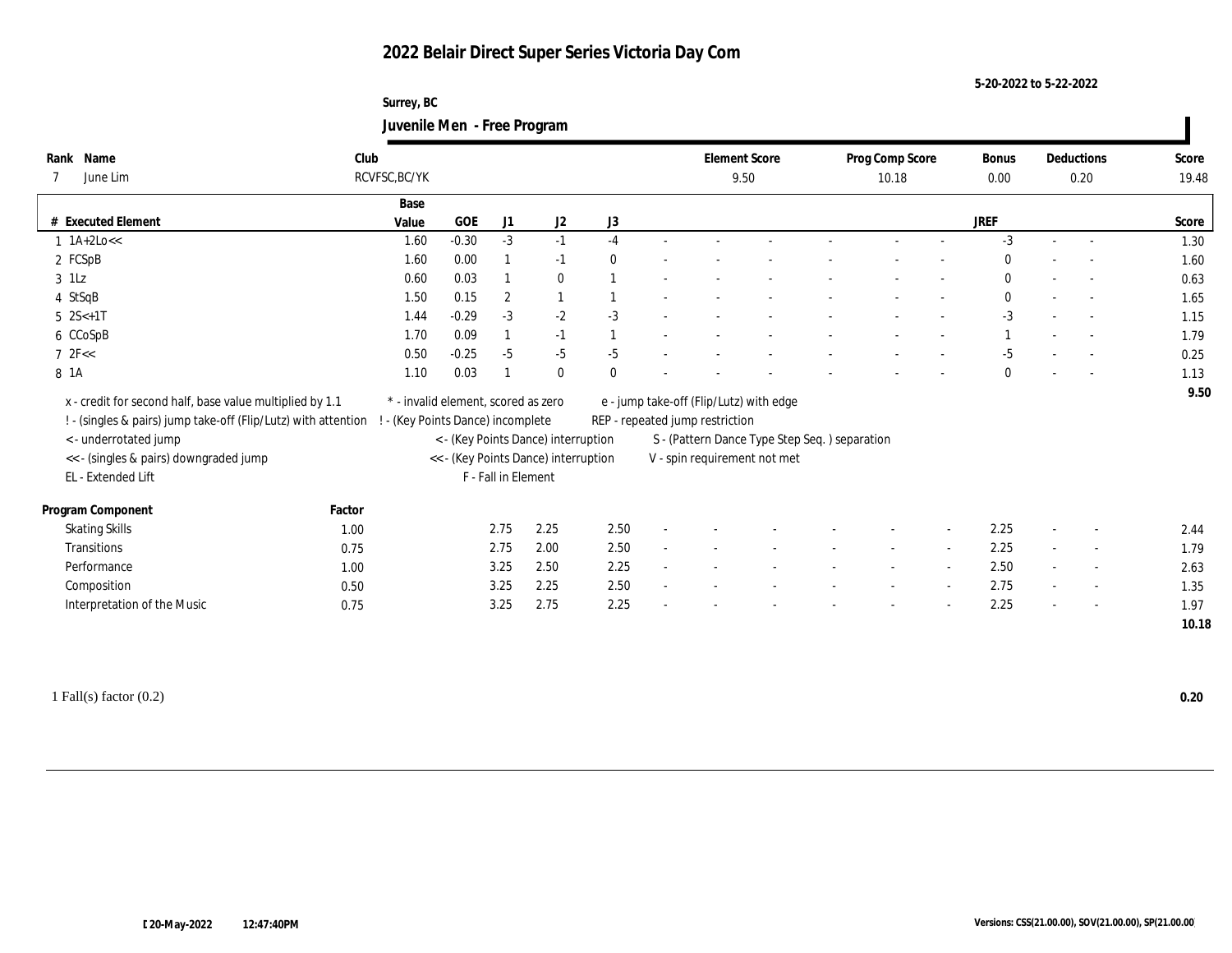**Surrey, BC Juvenile Men - Free Program**

| Rank Name                                                      | Club   |                                     |         |                     |                                      |              |        | <b>Element Score</b>                    |                                               | Prog Comp Score |        | <b>Bonus</b> |                          | Deductions               | Score |
|----------------------------------------------------------------|--------|-------------------------------------|---------|---------------------|--------------------------------------|--------------|--------|-----------------------------------------|-----------------------------------------------|-----------------|--------|--------------|--------------------------|--------------------------|-------|
| June Lim                                                       |        | RCVFSC, BC/YK                       |         |                     |                                      |              |        |                                         | 9.50                                          | 10.18           |        | 0.00         |                          | 0.20                     | 19.48 |
|                                                                |        | Base                                |         |                     |                                      |              |        |                                         |                                               |                 |        |              |                          |                          |       |
| # Executed Element                                             |        | Value                               | GOE     | J1                  | J2                                   | J3           |        |                                         |                                               |                 |        | JREF         |                          |                          | Score |
| $1$ 1A+2Lo <<                                                  |        | 1.60                                | $-0.30$ | $-3$                | $-1$                                 | $-4$         |        |                                         |                                               |                 |        | $-3$         |                          |                          | 1.30  |
| 2 FCSpB                                                        |        | 1.60                                | 0.00    |                     | $-1$                                 | $\mathbf{0}$ |        |                                         |                                               |                 |        | 0            |                          |                          | 1.60  |
| $3$ 1Lz                                                        |        | 0.60                                | 0.03    |                     | $\bf{0}$                             |              |        |                                         |                                               |                 |        | $\bf{0}$     |                          |                          | 0.63  |
| 4 StSqB                                                        |        | 1.50                                | 0.15    | $\boldsymbol{2}$    | $\mathbf{1}$                         |              |        |                                         |                                               |                 |        | $\bf{0}$     |                          |                          | 1.65  |
| $5 \quad 2S < +1T$                                             |        | 1.44                                | $-0.29$ | $-3$                | $-2$                                 | $-3$         |        |                                         |                                               |                 |        | $-3$         | $\sim$                   |                          | 1.15  |
| 6 CCoSpB                                                       |        | 1.70                                | 0.09    |                     | $-1$                                 |              |        |                                         |                                               |                 |        |              |                          |                          | 1.79  |
| 72F <                                                          |        | 0.50                                | $-0.25$ | $-5$                | $-5$                                 | $-5$         |        |                                         |                                               |                 |        | $-5$         |                          |                          | 0.25  |
| 8 1A                                                           |        | 1.10                                | 0.03    |                     | $\bf{0}$                             | $\mathbf{0}$ |        |                                         |                                               |                 |        | $\mathbf{0}$ |                          |                          | 1.13  |
| x - credit for second half, base value multiplied by 1.1       |        | * - invalid element, scored as zero |         |                     |                                      |              |        | e - jump take-off (Flip/Lutz) with edge |                                               |                 |        |              |                          |                          | 9.50  |
| ! - (singles & pairs) jump take-off (Flip/Lutz) with attention |        | - (Key Points Dance) incomplete     |         |                     |                                      |              |        | REP - repeated jump restriction         |                                               |                 |        |              |                          |                          |       |
| < - underrotated jump                                          |        |                                     |         |                     | < - (Key Points Dance) interruption  |              |        |                                         | S - (Pattern Dance Type Step Seq.) separation |                 |        |              |                          |                          |       |
| << - (singles & pairs) downgraded jump                         |        |                                     |         |                     | << - (Key Points Dance) interruption |              |        |                                         | V - spin requirement not met                  |                 |        |              |                          |                          |       |
| EL - Extended Lift                                             |        |                                     |         | F - Fall in Element |                                      |              |        |                                         |                                               |                 |        |              |                          |                          |       |
|                                                                |        |                                     |         |                     |                                      |              |        |                                         |                                               |                 |        |              |                          |                          |       |
| Program Component                                              | Factor |                                     |         |                     |                                      |              |        |                                         |                                               |                 |        |              |                          |                          |       |
| <b>Skating Skills</b>                                          | 1.00   |                                     |         | 2.75                | 2.25                                 | 2.50         |        |                                         |                                               |                 | $\sim$ | 2.25         | $\sim$                   | $\overline{\phantom{a}}$ | 2.44  |
| Transitions                                                    | 0.75   |                                     |         | 2.75                | 2.00                                 | 2.50         |        |                                         |                                               |                 |        | 2.25         | $\sim$                   | $\overline{\phantom{a}}$ | 1.79  |
| Performance                                                    | 1.00   |                                     |         | 3.25                | 2.50                                 | 2.25         | $\sim$ |                                         |                                               |                 | $\sim$ | 2.50         | $\sim$                   | $\overline{\phantom{a}}$ | 2.63  |
| Composition                                                    | 0.50   |                                     |         | 3.25                | 2.25                                 | 2.50         |        |                                         |                                               |                 |        | 2.75         | $\sim$                   | $\overline{\phantom{a}}$ | 1.35  |
| Interpretation of the Music                                    | 0.75   |                                     |         | 3.25                | 2.75                                 | 2.25         |        |                                         |                                               |                 |        | 2.25         | $\overline{\phantom{a}}$ |                          | 1.97  |
|                                                                |        |                                     |         |                     |                                      |              |        |                                         |                                               |                 |        |              |                          |                          | 10.18 |
|                                                                |        |                                     |         |                     |                                      |              |        |                                         |                                               |                 |        |              |                          |                          |       |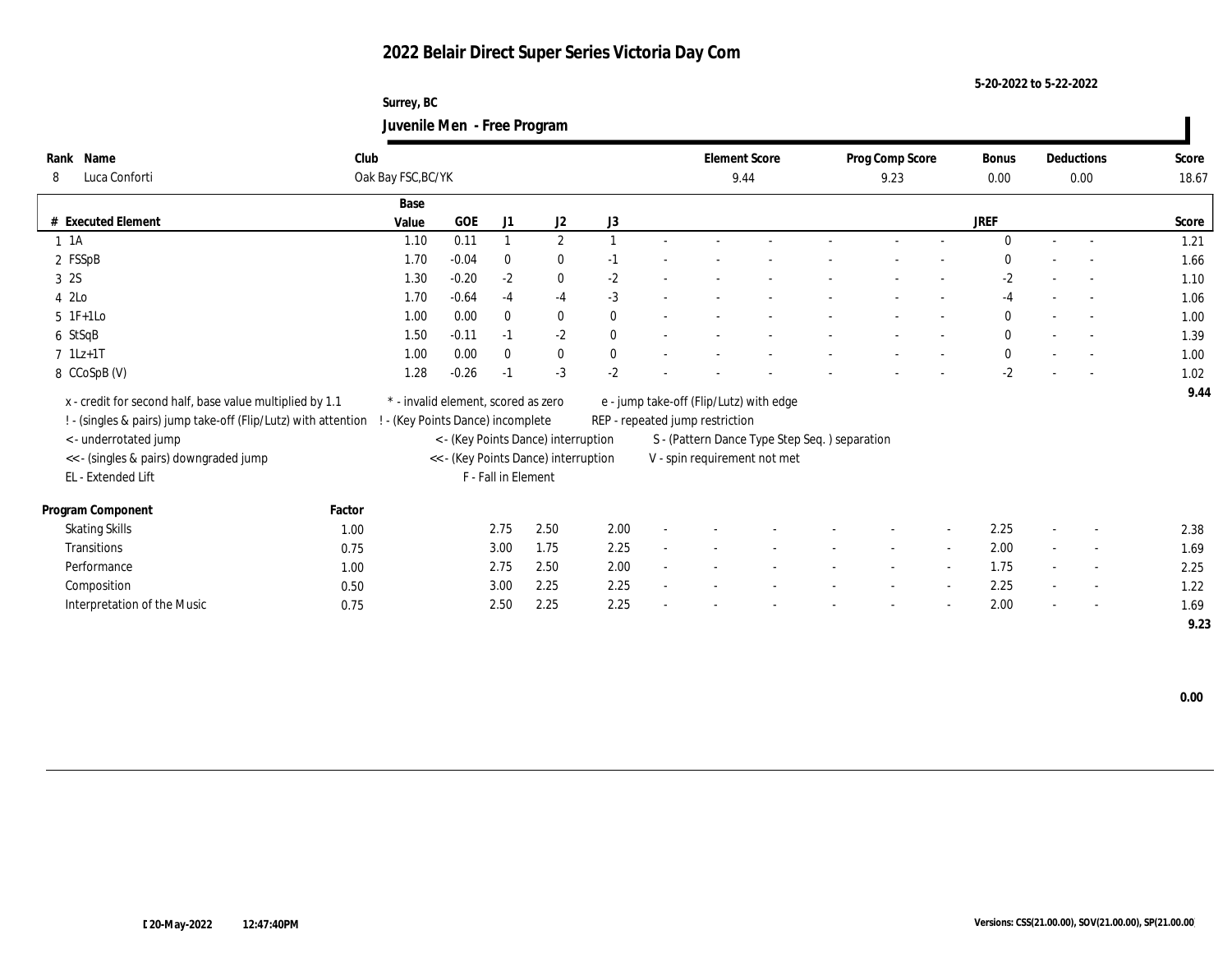**Surrey, BC Juvenile Men - Free Program**

| Rank Name                                                      | Club   |                                     |            |                     |                                      |              |                                 | <b>Element Score</b>                           | Prog Comp Score |        | <b>Bonus</b> |                          | Deductions               | Score |
|----------------------------------------------------------------|--------|-------------------------------------|------------|---------------------|--------------------------------------|--------------|---------------------------------|------------------------------------------------|-----------------|--------|--------------|--------------------------|--------------------------|-------|
| Luca Conforti<br>8                                             |        | Oak Bay FSC, BC/YK                  |            |                     |                                      |              |                                 | 9.44                                           | 9.23            |        | 0.00         |                          | 0.00                     | 18.67 |
|                                                                |        | Base                                |            |                     |                                      |              |                                 |                                                |                 |        |              |                          |                          |       |
| # Executed Element                                             |        | Value                               | <b>GOE</b> | J1                  | J <sub>2</sub>                       | J3           |                                 |                                                |                 |        | <b>JREF</b>  |                          |                          | Score |
| $1 \t1A$                                                       |        | 1.10                                | 0.11       |                     | $\mathbf{2}$                         |              |                                 |                                                |                 |        | $\Omega$     |                          |                          | 1.21  |
| 2 FSSpB                                                        |        | 1.70                                | $-0.04$    | $\mathbf{0}$        | $\bf{0}$                             | $-1$         |                                 |                                                |                 |        | $\mathbf{0}$ | $\overline{\phantom{a}}$ |                          | 1.66  |
| 3 2S                                                           |        | 1.30                                | $-0.20$    | $-2$                | $\bf{0}$                             | $-2$         |                                 |                                                |                 |        | $-2$         |                          | $\sim$                   | 1.10  |
| 4 2Lo                                                          |        | 1.70                                | $-0.64$    | $-4$                | $-4$                                 | $-3$         |                                 |                                                |                 |        | $-4$         |                          | $\sim$                   | 1.06  |
| $5 \t1F+1Lo$                                                   |        | 1.00                                | 0.00       | $\mathbf{0}$        | $\bf{0}$                             | $\bf{0}$     |                                 |                                                |                 |        | $\bf{0}$     |                          |                          | 1.00  |
| 6 StSqB                                                        |        | 1.50                                | $-0.11$    | $-1$                | $-2$                                 | $\mathbf{0}$ |                                 |                                                |                 |        | $\bf{0}$     |                          |                          | 1.39  |
| $7$ 1Lz+1T                                                     |        | 1.00                                | 0.00       | $\mathbf{0}$        | $\bf{0}$                             | $\bf{0}$     |                                 |                                                |                 |        | $\bf{0}$     | $\sim$                   |                          | 1.00  |
| 8 CCoSpB (V)                                                   |        | 1.28                                | $-0.26$    | $-1$                | $-3$                                 | $-2$         |                                 |                                                |                 |        | $-2$         |                          |                          | 1.02  |
| x - credit for second half, base value multiplied by 1.1       |        | * - invalid element, scored as zero |            |                     |                                      |              |                                 | e - jump take-off (Flip/Lutz) with edge        |                 |        |              |                          |                          | 9.44  |
| ! - (singles & pairs) jump take-off (Flip/Lutz) with attention |        | - (Key Points Dance) incomplete     |            |                     |                                      |              | REP - repeated jump restriction |                                                |                 |        |              |                          |                          |       |
| < - underrotated jump                                          |        |                                     |            |                     | < - (Key Points Dance) interruption  |              |                                 | S - (Pattern Dance Type Step Seq. ) separation |                 |        |              |                          |                          |       |
| << - (singles & pairs) downgraded jump                         |        |                                     |            |                     | << - (Key Points Dance) interruption |              |                                 | V - spin requirement not met                   |                 |        |              |                          |                          |       |
| EL - Extended Lift                                             |        |                                     |            | F - Fall in Element |                                      |              |                                 |                                                |                 |        |              |                          |                          |       |
|                                                                |        |                                     |            |                     |                                      |              |                                 |                                                |                 |        |              |                          |                          |       |
| Program Component                                              | Factor |                                     |            |                     |                                      |              |                                 |                                                |                 |        |              |                          |                          |       |
| <b>Skating Skills</b>                                          | 1.00   |                                     |            | 2.75                | 2.50                                 | 2.00         |                                 |                                                |                 |        | 2.25         |                          |                          | 2.38  |
| Transitions                                                    | 0.75   |                                     |            | 3.00                | 1.75                                 | 2.25         |                                 |                                                |                 | $\sim$ | 2.00         |                          | $\overline{\phantom{a}}$ | 1.69  |
| Performance                                                    | 1.00   |                                     |            | 2.75                | 2.50                                 | 2.00         |                                 |                                                |                 |        | 1.75         |                          |                          | 2.25  |
| Composition                                                    | 0.50   |                                     |            | 3.00                | 2.25                                 | 2.25         |                                 |                                                |                 |        | 2.25         |                          | $\sim$                   | 1.22  |
| Interpretation of the Music                                    | 0.75   |                                     |            | 2.50                | 2.25                                 | 2.25         |                                 |                                                |                 |        | 2.00         |                          | $\overline{\phantom{a}}$ | 1.69  |
|                                                                |        |                                     |            |                     |                                      |              |                                 |                                                |                 |        |              |                          |                          | 9.23  |